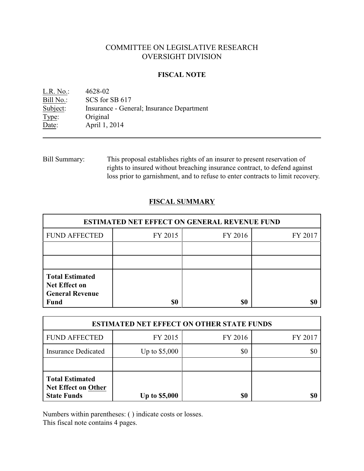# COMMITTEE ON LEGISLATIVE RESEARCH OVERSIGHT DIVISION

#### **FISCAL NOTE**

<u>L.R. No.:</u> 4628-02<br>Bill No.: SCS for : SCS for SB 617 Subject: Insurance - General; Insurance Department Type: Original Date: April 1, 2014

Bill Summary: This proposal establishes rights of an insurer to present reservation of rights to insured without breaching insurance contract, to defend against loss prior to garnishment, and to refuse to enter contracts to limit recovery.

### **FISCAL SUMMARY**

| <b>ESTIMATED NET EFFECT ON GENERAL REVENUE FUND</b>                                     |         |         |         |  |
|-----------------------------------------------------------------------------------------|---------|---------|---------|--|
| <b>FUND AFFECTED</b>                                                                    | FY 2015 | FY 2016 | FY 2017 |  |
|                                                                                         |         |         |         |  |
|                                                                                         |         |         |         |  |
| <b>Total Estimated</b><br><b>Net Effect on</b><br><b>General Revenue</b><br><b>Fund</b> | \$0     | \$0     |         |  |

| <b>ESTIMATED NET EFFECT ON OTHER STATE FUNDS</b>                           |                      |         |         |  |
|----------------------------------------------------------------------------|----------------------|---------|---------|--|
| <b>FUND AFFECTED</b>                                                       | FY 2015              | FY 2016 | FY 2017 |  |
| <b>Insurance Dedicated</b>                                                 | Up to $$5,000$       | \$0     | \$0     |  |
|                                                                            |                      |         |         |  |
| <b>Total Estimated</b><br><b>Net Effect on Other</b><br><b>State Funds</b> | <b>Up to \$5,000</b> | \$0     | \$0     |  |

Numbers within parentheses: ( ) indicate costs or losses.

This fiscal note contains 4 pages.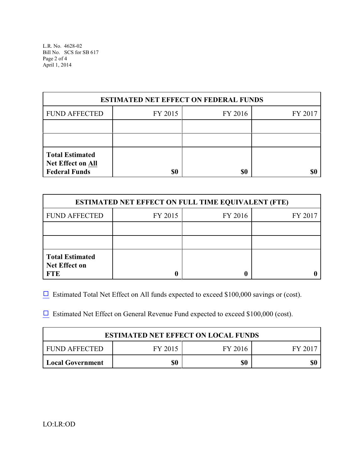L.R. No. 4628-02 Bill No. SCS for SB 617 Page 2 of 4 April 1, 2014

| <b>ESTIMATED NET EFFECT ON FEDERAL FUNDS</b>                               |         |         |         |  |
|----------------------------------------------------------------------------|---------|---------|---------|--|
| <b>FUND AFFECTED</b>                                                       | FY 2015 | FY 2016 | FY 2017 |  |
|                                                                            |         |         |         |  |
|                                                                            |         |         |         |  |
| <b>Total Estimated</b><br><b>Net Effect on All</b><br><b>Federal Funds</b> | \$0     | \$0     |         |  |

| <b>ESTIMATED NET EFFECT ON FULL TIME EQUIVALENT (FTE)</b>    |         |         |         |  |
|--------------------------------------------------------------|---------|---------|---------|--|
| <b>FUND AFFECTED</b>                                         | FY 2015 | FY 2016 | FY 2017 |  |
|                                                              |         |         |         |  |
|                                                              |         |         |         |  |
| <b>Total Estimated</b><br><b>Net Effect on</b><br><b>FTE</b> |         |         |         |  |

 $\Box$  Estimated Total Net Effect on All funds expected to exceed \$100,000 savings or (cost).

 $\Box$  Estimated Net Effect on General Revenue Fund expected to exceed \$100,000 (cost).

| <b>ESTIMATED NET EFFECT ON LOCAL FUNDS</b> |         |         |       |  |
|--------------------------------------------|---------|---------|-------|--|
| FUND AFFECTED                              | FY 2015 | FY 2016 | FY 20 |  |
| <b>Local Government</b>                    | \$0     | \$0     | \$(   |  |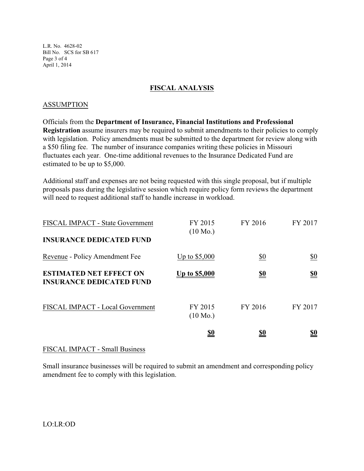L.R. No. 4628-02 Bill No. SCS for SB 617 Page 3 of 4 April 1, 2014

# **FISCAL ANALYSIS**

### ASSUMPTION

Officials from the **Department of Insurance, Financial Institutions and Professional Registration** assume insurers may be required to submit amendments to their policies to comply with legislation. Policy amendments must be submitted to the department for review along with a \$50 filing fee. The number of insurance companies writing these policies in Missouri fluctuates each year. One-time additional revenues to the Insurance Dedicated Fund are estimated to be up to \$5,000.

Additional staff and expenses are not being requested with this single proposal, but if multiple proposals pass during the legislative session which require policy form reviews the department will need to request additional staff to handle increase in workload.

| FISCAL IMPACT - State Government<br><b>INSURANCE DEDICATED FUND</b> | FY 2015<br>$(10 \text{ Mo.})$ | FY 2016    | FY 2017                       |
|---------------------------------------------------------------------|-------------------------------|------------|-------------------------------|
| Revenue - Policy Amendment Fee                                      | Up to $$5,000$                | \$0        | $\underline{\$0}$             |
| <b>ESTIMATED NET EFFECT ON</b><br><b>INSURANCE DEDICATED FUND</b>   | <u>Up to \$5,000</u>          | <u>\$0</u> | $\underline{\underline{\$0}}$ |
| FISCAL IMPACT - Local Government                                    | FY 2015<br>$(10 \text{ Mo.})$ | FY 2016    | FY 2017                       |
|                                                                     | <u>\$0</u>                    | <u>\$0</u> | <u>\$0</u>                    |

# FISCAL IMPACT - Small Business

Small insurance businesses will be required to submit an amendment and corresponding policy amendment fee to comply with this legislation.